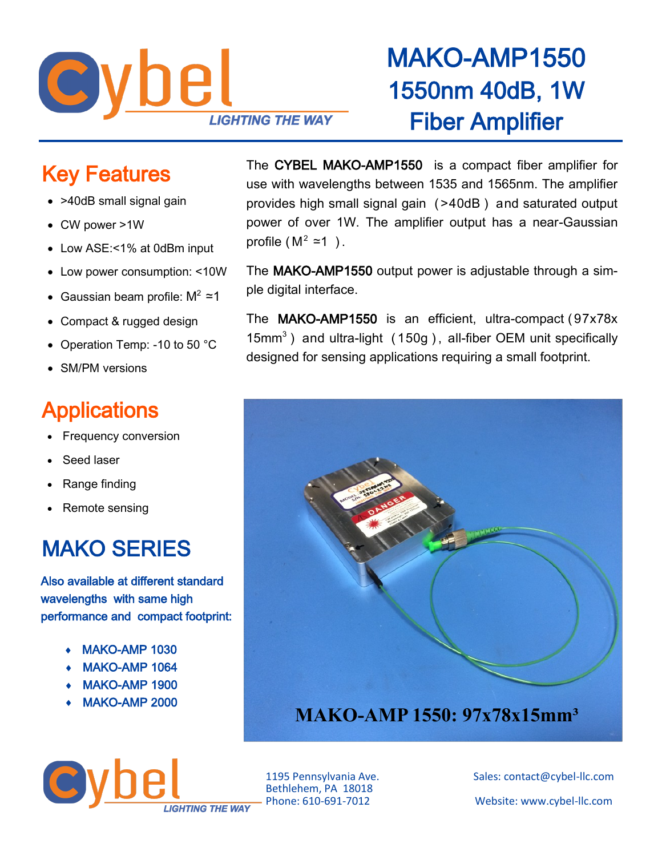

## MAKO-AMP1550 1550nm 40dB, 1W Fiber Amplifier

#### Key Features

- >40dB small signal gain
- CW power >1W
- Low ASE:<1% at 0dBm input
- Low power consumption: <10W
- Gaussian beam profile:  $M^2 \approx 1$
- Compact & rugged design
- Operation Temp: -10 to 50 °C
- SM/PM versions

#### **Applications**

- Frequency conversion
- Seed laser
- Range finding
- Remote sensing

### MAKO SERIES

Also available at different standard wavelengths with same high performance and compact footprint:

- MAKO-AMP 1030
- MAKO-AMP 1064
- MAKO-AMP 1900
- MAKO-AMP 2000

The CYBEL MAKO-AMP1550 is a compact fiber amplifier for use with wavelengths between 1535 and 1565nm. The amplifier provides high small signal gain ( >40dB ) and saturated output power of over 1W. The amplifier output has a near-Gaussian profile ( $M^2$  ≃1).

The MAKO-AMP1550 output power is adjustable through a simple digital interface.

The MAKO-AMP1550 is an efficient, ultra-compact (97x78x  $15mm<sup>3</sup>$ ) and ultra-light (150g), all-fiber OEM unit specifically designed for sensing applications requiring a small footprint.



wbe **IGHTING THE WAY** 

Bethlehem, PA 18018

1195 Pennsylvania Ave. Sales: contact@cybel-llc.com Website: www.cybel-llc.com